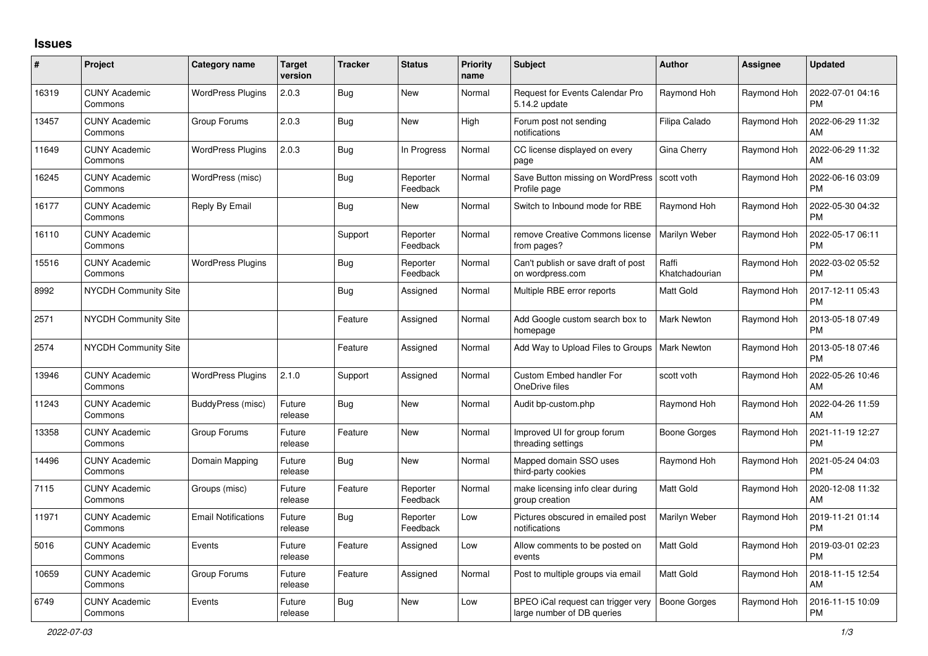## **Issues**

| #     | Project                         | <b>Category name</b>       | Target<br>version | <b>Tracker</b> | <b>Status</b>        | <b>Priority</b><br>name | <b>Subject</b>                                                   | <b>Author</b>           | <b>Assignee</b> | <b>Updated</b>                |
|-------|---------------------------------|----------------------------|-------------------|----------------|----------------------|-------------------------|------------------------------------------------------------------|-------------------------|-----------------|-------------------------------|
| 16319 | <b>CUNY Academic</b><br>Commons | <b>WordPress Plugins</b>   | 2.0.3             | Bug            | <b>New</b>           | Normal                  | <b>Request for Events Calendar Pro</b><br>5.14.2 update          | Raymond Hoh             | Raymond Hoh     | 2022-07-01 04:16<br><b>PM</b> |
| 13457 | <b>CUNY Academic</b><br>Commons | Group Forums               | 2.0.3             | <b>Bug</b>     | <b>New</b>           | High                    | Forum post not sending<br>notifications                          | Filipa Calado           | Raymond Hoh     | 2022-06-29 11:32<br>AM        |
| 11649 | <b>CUNY Academic</b><br>Commons | <b>WordPress Plugins</b>   | 2.0.3             | Bug            | In Progress          | Normal                  | CC license displayed on every<br>page                            | Gina Cherry             | Raymond Hoh     | 2022-06-29 11:32<br>AM        |
| 16245 | <b>CUNY Academic</b><br>Commons | WordPress (misc)           |                   | Bug            | Reporter<br>Feedback | Normal                  | Save Button missing on WordPress Scott voth<br>Profile page      |                         | Raymond Hoh     | 2022-06-16 03:09<br><b>PM</b> |
| 16177 | <b>CUNY Academic</b><br>Commons | Reply By Email             |                   | Bug            | <b>New</b>           | Normal                  | Switch to Inbound mode for RBE                                   | Raymond Hoh             | Raymond Hoh     | 2022-05-30 04:32<br><b>PM</b> |
| 16110 | <b>CUNY Academic</b><br>Commons |                            |                   | Support        | Reporter<br>Feedback | Normal                  | remove Creative Commons license<br>from pages?                   | Marilyn Weber           | Raymond Hoh     | 2022-05-17 06:11<br><b>PM</b> |
| 15516 | <b>CUNY Academic</b><br>Commons | <b>WordPress Plugins</b>   |                   | <b>Bug</b>     | Reporter<br>Feedback | Normal                  | Can't publish or save draft of post<br>on wordpress.com          | Raffi<br>Khatchadourian | Raymond Hoh     | 2022-03-02 05:52<br><b>PM</b> |
| 8992  | NYCDH Community Site            |                            |                   | <b>Bug</b>     | Assigned             | Normal                  | Multiple RBE error reports                                       | Matt Gold               | Raymond Hoh     | 2017-12-11 05:43<br><b>PM</b> |
| 2571  | <b>NYCDH Community Site</b>     |                            |                   | Feature        | Assigned             | Normal                  | Add Google custom search box to<br>homepage                      | Mark Newton             | Raymond Hoh     | 2013-05-18 07:49<br><b>PM</b> |
| 2574  | <b>NYCDH Community Site</b>     |                            |                   | Feature        | Assigned             | Normal                  | Add Way to Upload Files to Groups                                | Mark Newton             | Raymond Hoh     | 2013-05-18 07:46<br><b>PM</b> |
| 13946 | <b>CUNY Academic</b><br>Commons | <b>WordPress Plugins</b>   | 2.1.0             | Support        | Assigned             | Normal                  | Custom Embed handler For<br>OneDrive files                       | scott voth              | Raymond Hoh     | 2022-05-26 10:46<br>AM        |
| 11243 | <b>CUNY Academic</b><br>Commons | BuddyPress (misc)          | Future<br>release | Bug            | <b>New</b>           | Normal                  | Audit bp-custom.php                                              | Raymond Hoh             | Raymond Hoh     | 2022-04-26 11:59<br>AM        |
| 13358 | <b>CUNY Academic</b><br>Commons | Group Forums               | Future<br>release | Feature        | <b>New</b>           | Normal                  | Improved UI for group forum<br>threading settings                | Boone Gorges            | Raymond Hoh     | 2021-11-19 12:27<br><b>PM</b> |
| 14496 | <b>CUNY Academic</b><br>Commons | Domain Mapping             | Future<br>release | Bug            | <b>New</b>           | Normal                  | Mapped domain SSO uses<br>third-party cookies                    | Raymond Hoh             | Raymond Hoh     | 2021-05-24 04:03<br><b>PM</b> |
| 7115  | <b>CUNY Academic</b><br>Commons | Groups (misc)              | Future<br>release | Feature        | Reporter<br>Feedback | Normal                  | make licensing info clear during<br>group creation               | Matt Gold               | Raymond Hoh     | 2020-12-08 11:32<br>AM        |
| 11971 | <b>CUNY Academic</b><br>Commons | <b>Email Notifications</b> | Future<br>release | <b>Bug</b>     | Reporter<br>Feedback | Low                     | Pictures obscured in emailed post<br>notifications               | Marilyn Weber           | Raymond Hoh     | 2019-11-21 01:14<br><b>PM</b> |
| 5016  | <b>CUNY Academic</b><br>Commons | Events                     | Future<br>release | Feature        | Assigned             | Low                     | Allow comments to be posted on<br>events                         | Matt Gold               | Raymond Hoh     | 2019-03-01 02:23<br><b>PM</b> |
| 10659 | <b>CUNY Academic</b><br>Commons | Group Forums               | Future<br>release | Feature        | Assigned             | Normal                  | Post to multiple groups via email                                | Matt Gold               | Raymond Hoh     | 2018-11-15 12:54<br>AM        |
| 6749  | <b>CUNY Academic</b><br>Commons | Events                     | Future<br>release | <b>Bug</b>     | <b>New</b>           | Low                     | BPEO iCal request can trigger very<br>large number of DB queries | <b>Boone Gorges</b>     | Raymond Hoh     | 2016-11-15 10:09<br><b>PM</b> |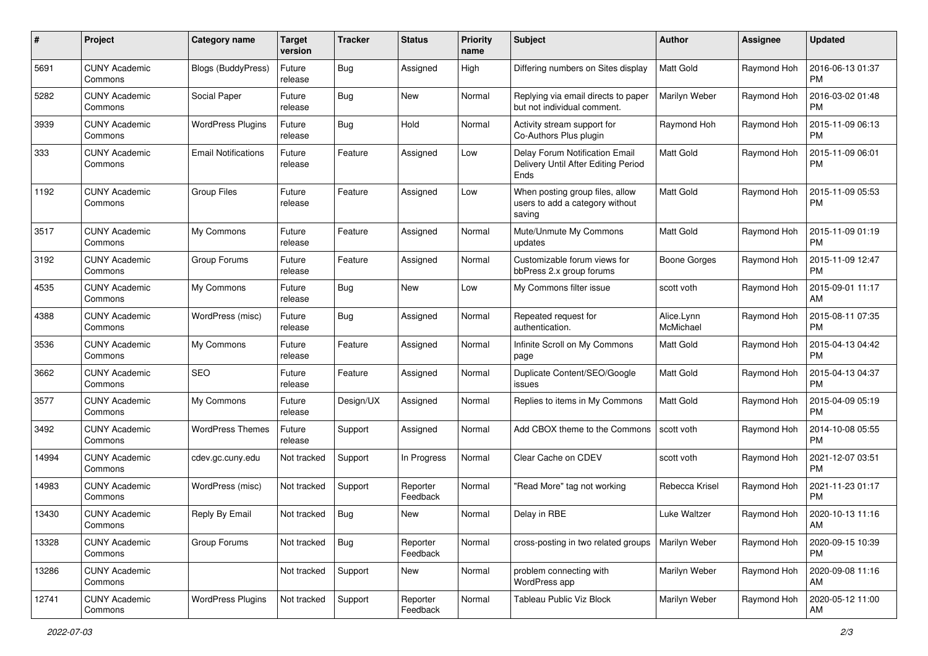| #     | Project                         | <b>Category name</b>       | <b>Target</b><br>version | <b>Tracker</b> | <b>Status</b>        | <b>Priority</b><br>name | <b>Subject</b>                                                                | <b>Author</b>           | <b>Assignee</b> | <b>Updated</b>                |
|-------|---------------------------------|----------------------------|--------------------------|----------------|----------------------|-------------------------|-------------------------------------------------------------------------------|-------------------------|-----------------|-------------------------------|
| 5691  | <b>CUNY Academic</b><br>Commons | <b>Blogs (BuddyPress)</b>  | Future<br>release        | <b>Bug</b>     | Assigned             | High                    | Differing numbers on Sites display                                            | Matt Gold               | Raymond Hoh     | 2016-06-13 01:37<br><b>PM</b> |
| 5282  | <b>CUNY Academic</b><br>Commons | Social Paper               | Future<br>release        | <b>Bug</b>     | New                  | Normal                  | Replying via email directs to paper<br>but not individual comment.            | Marilyn Weber           | Raymond Hoh     | 2016-03-02 01:48<br><b>PM</b> |
| 3939  | <b>CUNY Academic</b><br>Commons | <b>WordPress Plugins</b>   | Future<br>release        | Bug            | Hold                 | Normal                  | Activity stream support for<br>Co-Authors Plus plugin                         | Raymond Hoh             | Raymond Hoh     | 2015-11-09 06:13<br><b>PM</b> |
| 333   | <b>CUNY Academic</b><br>Commons | <b>Email Notifications</b> | Future<br>release        | Feature        | Assigned             | Low                     | Delay Forum Notification Email<br>Delivery Until After Editing Period<br>Ends | Matt Gold               | Raymond Hoh     | 2015-11-09 06:01<br><b>PM</b> |
| 1192  | <b>CUNY Academic</b><br>Commons | <b>Group Files</b>         | Future<br>release        | Feature        | Assigned             | Low                     | When posting group files, allow<br>users to add a category without<br>saving  | Matt Gold               | Raymond Hoh     | 2015-11-09 05:53<br><b>PM</b> |
| 3517  | <b>CUNY Academic</b><br>Commons | My Commons                 | Future<br>release        | Feature        | Assigned             | Normal                  | Mute/Unmute My Commons<br>updates                                             | Matt Gold               | Raymond Hoh     | 2015-11-09 01:19<br><b>PM</b> |
| 3192  | <b>CUNY Academic</b><br>Commons | Group Forums               | Future<br>release        | Feature        | Assigned             | Normal                  | Customizable forum views for<br>bbPress 2.x group forums                      | <b>Boone Gorges</b>     | Raymond Hoh     | 2015-11-09 12:47<br><b>PM</b> |
| 4535  | <b>CUNY Academic</b><br>Commons | My Commons                 | Future<br>release        | <b>Bug</b>     | New                  | Low                     | My Commons filter issue                                                       | scott voth              | Raymond Hoh     | 2015-09-01 11:17<br>AM        |
| 4388  | <b>CUNY Academic</b><br>Commons | WordPress (misc)           | Future<br>release        | <b>Bug</b>     | Assigned             | Normal                  | Repeated request for<br>authentication.                                       | Alice.Lynn<br>McMichael | Raymond Hoh     | 2015-08-11 07:35<br><b>PM</b> |
| 3536  | <b>CUNY Academic</b><br>Commons | My Commons                 | Future<br>release        | Feature        | Assigned             | Normal                  | Infinite Scroll on My Commons<br>page                                         | Matt Gold               | Raymond Hoh     | 2015-04-13 04:42<br>РM        |
| 3662  | <b>CUNY Academic</b><br>Commons | <b>SEO</b>                 | Future<br>release        | Feature        | Assigned             | Normal                  | Duplicate Content/SEO/Google<br>issues                                        | Matt Gold               | Raymond Hoh     | 2015-04-13 04:37<br><b>PM</b> |
| 3577  | <b>CUNY Academic</b><br>Commons | My Commons                 | Future<br>release        | Design/UX      | Assigned             | Normal                  | Replies to items in My Commons                                                | Matt Gold               | Raymond Hoh     | 2015-04-09 05:19<br><b>PM</b> |
| 3492  | <b>CUNY Academic</b><br>Commons | WordPress Themes           | Future<br>release        | Support        | Assigned             | Normal                  | Add CBOX theme to the Commons                                                 | scott voth              | Raymond Hoh     | 2014-10-08 05:55<br><b>PM</b> |
| 14994 | <b>CUNY Academic</b><br>Commons | cdev.gc.cuny.edu           | Not tracked              | Support        | In Progress          | Normal                  | Clear Cache on CDEV                                                           | scott voth              | Raymond Hoh     | 2021-12-07 03:51<br><b>PM</b> |
| 14983 | <b>CUNY Academic</b><br>Commons | WordPress (misc)           | Not tracked              | Support        | Reporter<br>Feedback | Normal                  | "Read More" tag not working                                                   | Rebecca Krisel          | Raymond Hoh     | 2021-11-23 01:17<br><b>PM</b> |
| 13430 | <b>CUNY Academic</b><br>Commons | Reply By Email             | Not tracked              | <b>Bug</b>     | New                  | Normal                  | Delay in RBE                                                                  | Luke Waltzer            | Raymond Hoh     | 2020-10-13 11:16<br>AM        |
| 13328 | <b>CUNY Academic</b><br>Commons | Group Forums               | Not tracked              | <b>Bug</b>     | Reporter<br>Feedback | Normal                  | cross-posting in two related groups                                           | Marilyn Weber           | Raymond Hoh     | 2020-09-15 10:39<br><b>PM</b> |
| 13286 | <b>CUNY Academic</b><br>Commons |                            | Not tracked              | Support        | New                  | Normal                  | problem connecting with<br>WordPress app                                      | Marilyn Weber           | Raymond Hoh     | 2020-09-08 11:16<br>AM        |
| 12741 | <b>CUNY Academic</b><br>Commons | <b>WordPress Plugins</b>   | Not tracked              | Support        | Reporter<br>Feedback | Normal                  | Tableau Public Viz Block                                                      | Marilyn Weber           | Raymond Hoh     | 2020-05-12 11:00<br>AM        |